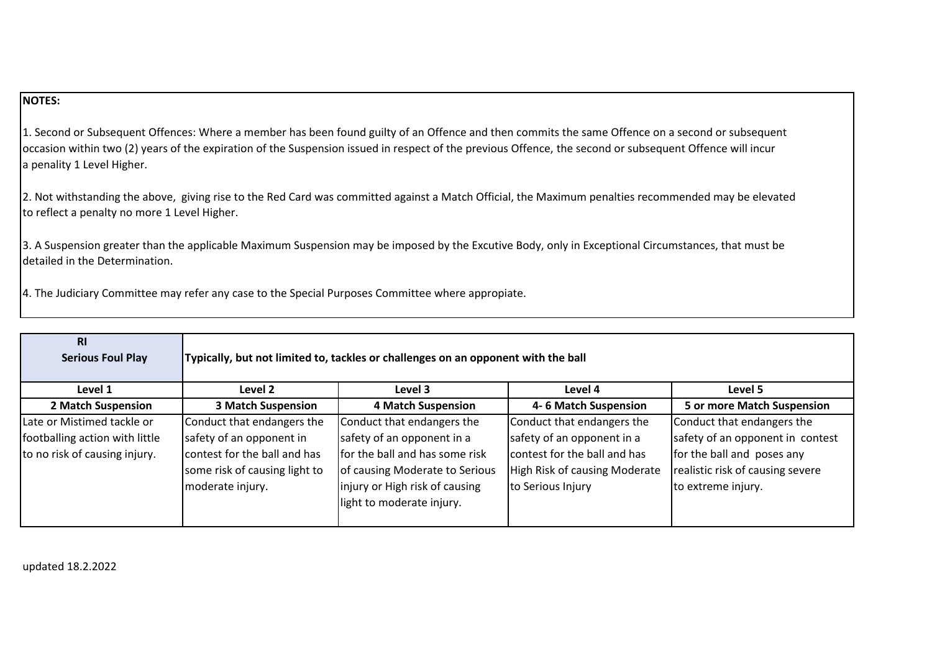## **NOTES:**

1. Second or Subsequent Offences: Where a member has been found guilty of an Offence and then commits the same Offence on a second or subsequent occasion within two (2) years of the expiration of the Suspension issued in respect of the previous Offence, the second or subsequent Offence will incur a penality 1 Level Higher.

2. Not withstanding the above, giving rise to the Red Card was committed against a Match Official, the Maximum penalties recommended may be elevated to reflect a penalty no more 1 Level Higher.

3. A Suspension greater than the applicable Maximum Suspension may be imposed by the Excutive Body, only in Exceptional Circumstances, that must be detailed in the Determination.

4. The Judiciary Committee may refer any case to the Special Purposes Committee where appropiate.

| <b>RI</b><br><b>Serious Foul Play</b> | Typically, but not limited to, tackles or challenges on an opponent with the ball |                                 |                               |                                   |
|---------------------------------------|-----------------------------------------------------------------------------------|---------------------------------|-------------------------------|-----------------------------------|
| Level 1                               | Level 2                                                                           | Level 3                         | Level 4                       | Level 5                           |
| 2 Match Suspension                    | <b>3 Match Suspension</b>                                                         | <b>4 Match Suspension</b>       | 4-6 Match Suspension          | <b>5 or more Match Suspension</b> |
| Late or Mistimed tackle or            | Conduct that endangers the                                                        | Conduct that endangers the      | Conduct that endangers the    | Conduct that endangers the        |
| footballing action with little        | safety of an opponent in                                                          | safety of an opponent in a      | safety of an opponent in a    | safety of an opponent in contest  |
| to no risk of causing injury.         | contest for the ball and has                                                      | Ifor the ball and has some risk | contest for the ball and has  | for the ball and poses any        |
|                                       | some risk of causing light to                                                     | of causing Moderate to Serious  | High Risk of causing Moderate | realistic risk of causing severe  |
|                                       | moderate injury.                                                                  | injury or High risk of causing  | to Serious Injury             | to extreme injury.                |
|                                       |                                                                                   | light to moderate injury.       |                               |                                   |
|                                       |                                                                                   |                                 |                               |                                   |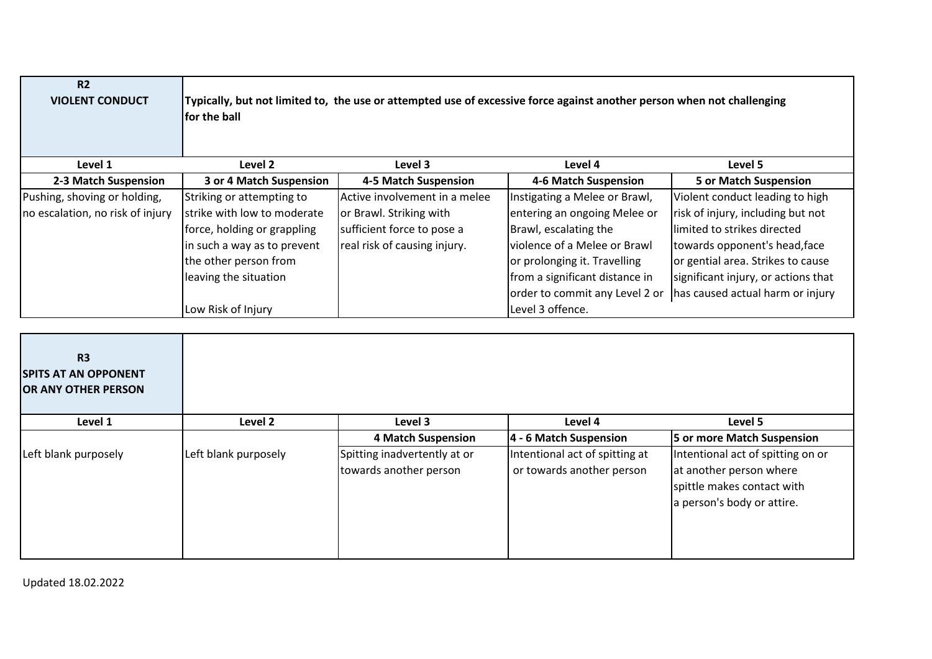| R <sub>2</sub><br><b>VIOLENT CONDUCT</b> | Typically, but not limited to, the use or attempted use of excessive force against another person when not challenging<br><b>for the ball</b> |                               |                                |                                     |
|------------------------------------------|-----------------------------------------------------------------------------------------------------------------------------------------------|-------------------------------|--------------------------------|-------------------------------------|
| Level 1                                  | Level 2                                                                                                                                       | Level 3                       | Level 4                        | Level 5                             |
| 2-3 Match Suspension                     | 3 or 4 Match Suspension                                                                                                                       | 4-5 Match Suspension          | 4-6 Match Suspension           | <b>5 or Match Suspension</b>        |
| Pushing, shoving or holding,             | Striking or attempting to                                                                                                                     | Active involvement in a melee | Instigating a Melee or Brawl,  | Violent conduct leading to high     |
| no escalation, no risk of injury         | strike with low to moderate                                                                                                                   | or Brawl. Striking with       | entering an ongoing Melee or   | risk of injury, including but not   |
|                                          | force, holding or grappling                                                                                                                   | sufficient force to pose a    | Brawl, escalating the          | llimited to strikes directed        |
|                                          | in such a way as to prevent                                                                                                                   | real risk of causing injury.  | violence of a Melee or Brawl   | towards opponent's head, face       |
|                                          | the other person from                                                                                                                         |                               | or prolonging it. Travelling   | or gential area. Strikes to cause   |
|                                          | leaving the situation                                                                                                                         |                               | from a significant distance in | significant injury, or actions that |
|                                          |                                                                                                                                               |                               | order to commit any Level 2 or | has caused actual harm or injury    |
|                                          | Low Risk of Injury                                                                                                                            |                               | Level 3 offence.               |                                     |

| <b>R3</b><br><b>SPITS AT AN OPPONENT</b><br>OR ANY OTHER PERSON |                      |                                                        |                                                             |                                                                                                                          |
|-----------------------------------------------------------------|----------------------|--------------------------------------------------------|-------------------------------------------------------------|--------------------------------------------------------------------------------------------------------------------------|
| Level 1                                                         | Level 2              | Level 3                                                | Level 4                                                     | Level 5                                                                                                                  |
|                                                                 |                      | <b>4 Match Suspension</b>                              | 4 - 6 Match Suspension                                      | 5 or more Match Suspension                                                                                               |
| Left blank purposely                                            | Left blank purposely | Spitting inadvertently at or<br>towards another person | Intentional act of spitting at<br>or towards another person | Intentional act of spitting on or<br>at another person where<br>spittle makes contact with<br>a person's body or attire. |